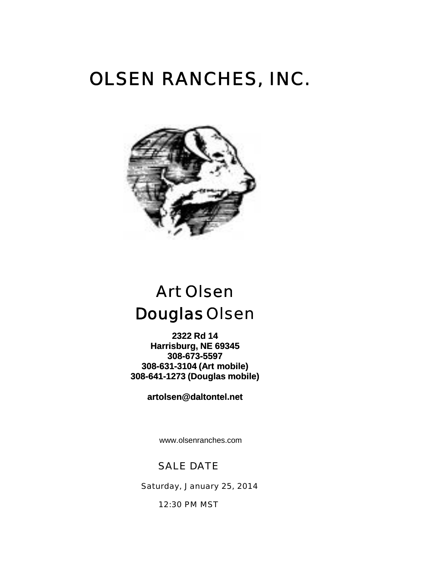# OLSEN RANCHES, INC.



## Art Olsen Art DouglasOlsen

**2322 Rd 14 Harrisburg, NE 69345 308-673-5597 308-631-3104 (Art mobile) 308-641-1273 (Douglas mobile)**

**artolsen@daltontel.net**

www.olsenranches.com

### SALE DATE

Saturday, January 25, 2014

12:30 PM MST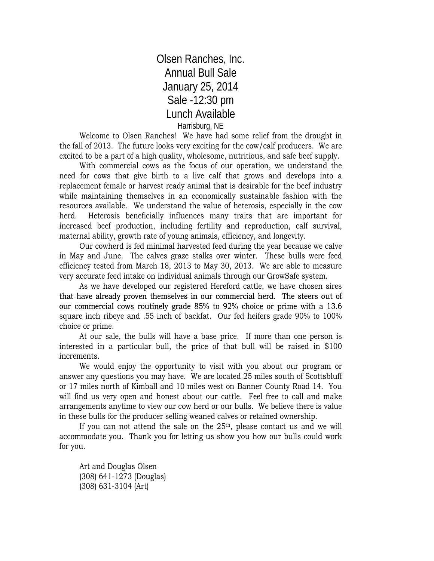## Olsen Ranches, Inc. Annual Bull Sale January 25, 2014 Sale -12:30 pm Lunch Available Harrisburg, NE

Welcome to Olsen Ranches! We have had some relief from the drought in the fall of 2013. The future looks very exciting for the cow/calf producers. We are excited to be a part of a high quality, wholesome, nutritious, and safe beef supply.

With commercial cows as the focus of our operation, we understand the need for cows that give birth to a live calf that grows and develops into a replacement female or harvest ready animal that is desirable for the beef industry while maintaining themselves in an economically sustainable fashion with the resources available. We understand the value of heterosis, especially in the cow herd. Heterosis beneficially influences many traits that are important for increased beef production, including fertility and reproduction, calf survival, maternal ability, growth rate of young animals, efficiency, and longevity.

Our cowherd is fed minimal harvested feed during the year because we calve in May and June. The calves graze stalks over winter. These bulls were feed efficiency tested from March 18, 2013 to May 30, 2013. We are able to measure very accurate feed intake on individual animals through our GrowSafe system.

As we have developed our registered Hereford cattle, we have chosen sires that have already proven themselves in our commercial herd. The steers out of our commercial cows routinely grade 85% to 92% choice or prime with a 13 6 13.6square inch ribeye and .55 inch of backfat. Our fed heifers grade 90% to 100% choice or prime.

At our sale, the bulls will have a base price. If more than one person is interested in a particular bull, the price of that bull will be raised in \$100 increments.

We would enjoy the opportunity to visit with you about our program or answer any questions you may have. We are located 25 miles south of Scottsbluff or 17 miles north of Kimball and 10 miles west on Banner County Road 14. You will find us very open and honest about our cattle. Feel free to call and make arrangements anytime to view our cow herd or our bulls. We believe there is value in these bulls for the producer selling weaned calves or retained ownership.

If you can not attend the sale on the 25<sup>th</sup>, please contact us and we will accommodate you. Thank you for letting us show you how our bulls could work for you.

Art and Douglas Olsen (308) 641-1273 (Douglas) (308) 631-3104 (Art)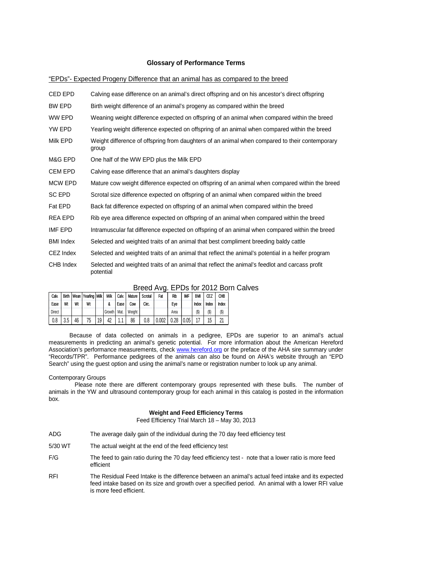#### **Glossary of Performance Terms**

#### "EPDs"- Expected Progeny Difference that an animal has as compared to the breed

| CED EPD          | Calving ease difference on an animal's direct offspring and on his ancestor's direct offspring              |
|------------------|-------------------------------------------------------------------------------------------------------------|
| BW EPD           | Birth weight difference of an animal's progeny as compared within the breed                                 |
| WW EPD           | Weaning weight difference expected on offspring of an animal when compared within the breed                 |
| YW EPD           | Yearling weight difference expected on offspring of an animal when compared within the breed                |
| Milk EPD         | Weight difference of offspring from daughters of an animal when compared to their contemporary<br>group     |
| M&G EPD          | One half of the WW EPD plus the Milk EPD                                                                    |
| CEM EPD          | Calving ease difference that an animal's daughters display                                                  |
| <b>MCW EPD</b>   | Mature cow weight difference expected on offspring of an animal when compared within the breed              |
| SC EPD           | Scrotal size difference expected on offspring of an animal when compared within the breed                   |
| Fat EPD          | Back fat difference expected on offspring of an animal when compared within the breed                       |
| REA EPD          | Rib eye area difference expected on offspring of an animal when compared within the breed                   |
| IMF EPD          | Intramuscular fat difference expected on offspring of an animal when compared within the breed              |
| <b>BMI</b> Index | Selected and weighted traits of an animal that best compliment breeding baldy cattle                        |
| CEZ Index        | Selected and weighted traits of an animal that reflect the animal's potential in a heifer program           |
| CHB Index        | Selected and weighted traits of an animal that reflect the animal's feedlot and carcass profit<br>potential |

|               |     |    |                                |    |          |       |        | ----------- |       |      |            |            |            | --         |
|---------------|-----|----|--------------------------------|----|----------|-------|--------|-------------|-------|------|------------|------------|------------|------------|
| Calv.         |     |    | Birth   Wean   Yearling   Milk |    | Milk     | Calv. | Mature | Scrotal     | Fat   | Rib  | <b>IMF</b> | <b>BMI</b> | <b>CEZ</b> | <b>CHB</b> |
| Ease          | Wt  | Wt | Wt                             |    |          | Ease  | Cow    | Circ.       |       | Eye  |            | Index      | Index      | Index      |
| <b>Direct</b> |     |    |                                |    | Growth I | Mat.  | Weight |             |       | Area |            | $(\$)$     | $(\$\)$    | $(\$)$     |
| 0.8           | 3.5 | 46 | 75                             | 19 | 42       | . .   | 86     | 0.8         | 0.002 | 0.28 | 0.05       |            | 15         | ኅላ         |

#### Breed Avg. EPDs for 2012 Born Calves Breed Avg. EPDs for 2012 Born Calves

Because of data collected on animals in a pedigree, EPDs are superior to an animal's actual measurements in predicting an animal's genetic potential. For more information about the American Hereford Association's performance measurements, check www.hereford.org or the preface of the AHA sire summary under "Records/TPR". Performance pedigrees of the animals can also be found on AHA's website through an "EPD Search" using the guest option and using the animal's name or registration number to look up any animal.

#### Contemporary Groups

 Please note there are different contemporary groups represented with these bulls. The number of animals in the YW and ultrasound contemporary group for each animal in this catalog is posted in the information box.

#### **Weight and Feed Efficiency Terms**

Feed Efficiency Trial March 18 – May 30, 2013

- ADG The average daily gain of the individual during the 70 day feed efficiency test
- 5/30 WT The actual weight at the end of the feed efficiency test
- F/G The feed to gain ratio during the 70 day feed efficiency test note that a lower ratio is more feed efficient
- RFI The Residual Feed Intake is the difference between an animal's actual feed intake and its expected feed intake based on its size and growth over a specified period. An animal with a lower RFI value is more feed efficient.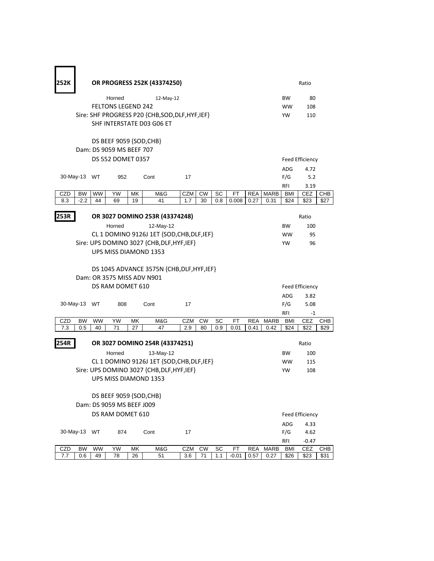| 252K       |                     |                 |                                                      |          | OR PROGRESS 252K (43374250)                      |            |                 |           |             |                    |                     |                   | Ratio                  |             |  |  |
|------------|---------------------|-----------------|------------------------------------------------------|----------|--------------------------------------------------|------------|-----------------|-----------|-------------|--------------------|---------------------|-------------------|------------------------|-------------|--|--|
|            |                     |                 | Horned                                               |          | 12-May-12                                        |            |                 |           |             |                    |                     | <b>BW</b>         | 80                     |             |  |  |
|            |                     |                 | <b>FELTONS LEGEND 242</b>                            |          |                                                  |            |                 |           |             |                    |                     | <b>WW</b>         | 108                    |             |  |  |
|            |                     |                 |                                                      |          | Sire: SHF PROGRESS P20 {CHB, SOD, DLF, HYF, IEF} |            |                 |           |             |                    |                     | YW                | 110                    |             |  |  |
|            |                     |                 |                                                      |          | SHF INTERSTATE D03 G06 ET                        |            |                 |           |             |                    |                     |                   |                        |             |  |  |
|            |                     |                 | DS BEEF 9059 {SOD, CHB}                              |          |                                                  |            |                 |           |             |                    |                     |                   |                        |             |  |  |
|            |                     |                 | Dam: DS 9059 MS BEEF 707                             |          |                                                  |            |                 |           |             |                    |                     |                   |                        |             |  |  |
|            |                     |                 | DS 552 DOMET 0357                                    |          |                                                  |            |                 |           |             |                    |                     | Feed Efficiency   |                        |             |  |  |
|            |                     |                 |                                                      |          |                                                  |            |                 |           |             |                    |                     | <b>ADG</b>        | 4.72                   |             |  |  |
|            | 30-May-13 WT        |                 | 952                                                  |          | Cont                                             | 17         |                 |           |             |                    |                     | F/G               | 5.2                    |             |  |  |
|            |                     |                 |                                                      |          |                                                  |            |                 |           |             |                    |                     | RFI               | 3.19                   |             |  |  |
| CZD<br>8.3 | <b>BW</b><br>$-2.2$ | <b>WW</b><br>44 | YW<br>69                                             | МK<br>19 | M&G<br>41                                        | CZM<br>1.7 | <b>CW</b><br>30 | SC<br>0.8 | FT<br>0.008 | <b>REA</b><br>0.27 | <b>MARB</b><br>0.31 | BMI<br>\$24       | <b>CEZ</b><br>\$23     | CHB<br>\$27 |  |  |
|            |                     |                 |                                                      |          |                                                  |            |                 |           |             |                    |                     |                   |                        |             |  |  |
| 253R       |                     |                 |                                                      |          | OR 3027 DOMINO 253R (43374248)                   |            |                 |           |             |                    |                     |                   | Ratio                  |             |  |  |
|            |                     |                 | Horned                                               |          | 12-May-12                                        |            |                 |           |             |                    |                     | <b>BW</b>         | 100                    |             |  |  |
|            |                     |                 |                                                      |          | CL 1 DOMINO 9126J 1ET {SOD, CHB, DLF, IEF}       |            |                 |           |             |                    |                     | <b>WW</b>         | 95                     |             |  |  |
|            |                     |                 |                                                      |          | Sire: UPS DOMINO 3027 {CHB, DLF, HYF, IEF}       |            |                 |           |             |                    |                     | <b>YW</b>         | 96                     |             |  |  |
|            |                     |                 |                                                      |          | UPS MISS DIAMOND 1353                            |            |                 |           |             |                    |                     |                   |                        |             |  |  |
|            |                     |                 | Dam: OR 3575 MISS ADV N901                           |          | DS 1045 ADVANCE 3575N {CHB, DLF, HYF, IEF}       |            |                 |           |             |                    |                     |                   |                        |             |  |  |
|            |                     |                 | DS RAM DOMET 610                                     |          |                                                  |            |                 |           |             |                    |                     |                   | Feed Efficiency        |             |  |  |
|            |                     |                 |                                                      |          |                                                  |            |                 |           |             |                    |                     | ADG               | 3.82                   |             |  |  |
|            | 30-May-13 WT        |                 | 808                                                  |          | Cont                                             | 17         |                 |           |             |                    |                     | F/G               | 5.08                   |             |  |  |
|            |                     |                 |                                                      |          |                                                  |            |                 |           |             |                    |                     | RFI               | $-1$                   |             |  |  |
| CZD        | <b>BW</b>           | <b>WW</b>       | YW                                                   | МK       | M&G                                              | <b>CZM</b> | <b>CW</b>       | SC        | FT          | <b>REA</b>         | <b>MARB</b>         | BMI               | <b>CEZ</b>             | <b>CHB</b>  |  |  |
| 7.3        | 0.5                 | 40              | 71                                                   | 27       | 47                                               | 2.9        | 80              | 0.9       | 0.01        | 0.41               | 0.42                | \$24              | \$22                   | \$29        |  |  |
| 254R       |                     |                 |                                                      |          | OR 3027 DOMINO 254R (43374251)                   |            |                 |           |             |                    |                     |                   | Ratio                  |             |  |  |
|            |                     |                 | Horned                                               |          | 13-May-12                                        |            |                 |           |             |                    |                     | <b>BW</b>         | 100                    |             |  |  |
|            |                     |                 |                                                      |          | CL 1 DOMINO 9126J 1ET {SOD, CHB, DLF, IEF}       |            |                 |           |             |                    |                     | <b>WW</b>         | 115                    |             |  |  |
|            |                     |                 |                                                      |          | Sire: UPS DOMINO 3027 {CHB, DLF, HYF, IEF}       |            |                 |           |             |                    |                     | YW                | 108                    |             |  |  |
|            |                     |                 |                                                      |          | UPS MISS DIAMOND 1353                            |            |                 |           |             |                    |                     |                   |                        |             |  |  |
|            |                     |                 |                                                      |          |                                                  |            |                 |           |             |                    |                     |                   |                        |             |  |  |
|            |                     |                 | DS BEEF 9059 {SOD, CHB}<br>Dam: DS 9059 MS BEEF J009 |          |                                                  |            |                 |           |             |                    |                     |                   |                        |             |  |  |
|            |                     |                 | DS RAM DOMET 610                                     |          |                                                  |            |                 |           |             |                    |                     |                   |                        |             |  |  |
|            |                     |                 |                                                      |          |                                                  |            |                 |           |             |                    |                     |                   | <b>Feed Efficiency</b> |             |  |  |
|            | 30-May-13           | WT              |                                                      |          | Cont                                             | 17         |                 |           |             |                    |                     | <b>ADG</b><br>F/G | 4.33                   |             |  |  |
|            |                     |                 | 874                                                  |          |                                                  |            |                 |           |             |                    |                     |                   | 4.62<br>$-0.47$        |             |  |  |
| CZD        | <b>BW</b>           | <b>WW</b>       | YW                                                   | МK       | M&G                                              | CZM        | <b>CW</b>       | SC        | FT          | <b>REA</b>         | <b>MARB</b>         | RFI<br><b>BMI</b> | <b>CEZ</b>             | <b>CHB</b>  |  |  |
| 7.7        | 0.6                 | 49              | 78                                                   | 26       | 51                                               | 3.6        | 71              | 1.1       | $-0.01$     | 0.57               | 0.27                | \$26              | \$23                   | \$31        |  |  |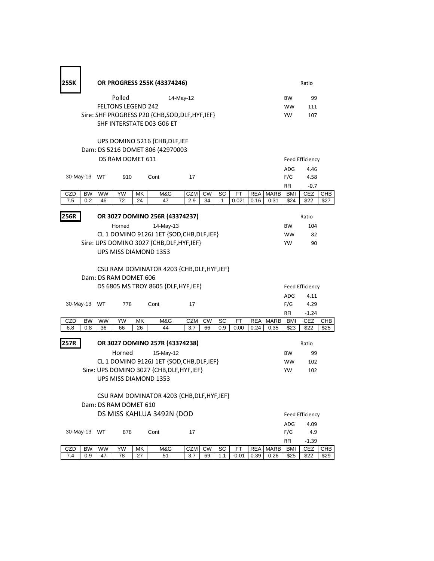| 255K |                  | OR PROGRESS 255K (43374246) |                           |          |                                                                    |            |           |     |         |            |             |                   | Ratio                 |             |  |  |
|------|------------------|-----------------------------|---------------------------|----------|--------------------------------------------------------------------|------------|-----------|-----|---------|------------|-------------|-------------------|-----------------------|-------------|--|--|
|      |                  |                             | Polled                    |          | 14-May-12                                                          |            |           |     |         |            |             | <b>BW</b>         | 99                    |             |  |  |
|      |                  |                             | <b>FELTONS LEGEND 242</b> |          |                                                                    |            |           |     |         |            |             | <b>WW</b>         | 111                   |             |  |  |
|      |                  |                             |                           |          | Sire: SHF PROGRESS P20 {CHB, SOD, DLF, HYF, IEF}                   |            |           |     |         |            |             | YW                | 107                   |             |  |  |
|      |                  |                             |                           |          | SHF INTERSTATE D03 G06 ET                                          |            |           |     |         |            |             |                   |                       |             |  |  |
|      |                  |                             |                           |          | UPS DOMINO 5216 {CHB, DLF, IEF<br>Dam: DS 5216 DOMET 806 (42970003 |            |           |     |         |            |             |                   | Feed Efficiency       |             |  |  |
|      | DS RAM DOMET 611 |                             |                           |          |                                                                    |            |           |     |         |            |             | <b>ADG</b>        | 4.46                  |             |  |  |
|      | 30-May-13 WT     |                             | 910                       |          | Cont                                                               | 17         |           |     |         |            |             | F/G               | 4.58                  |             |  |  |
|      |                  |                             |                           |          |                                                                    |            |           |     |         |            |             | RFI               | $-0.7$                |             |  |  |
| CZD  | <b>BW</b>        | WW                          | YW                        | МK       | M&G                                                                | CZM        | <b>CW</b> | SC  | FT      | <b>REA</b> | MARB        | BMI               | <b>CEZ</b>            | CHB         |  |  |
| 7.5  | 0.2              | 46                          | 72                        | 24       | 47                                                                 | 2.9        | 34        | 1   | 0.021   | 0.16       | 0.31        | \$24              | \$22                  | \$27        |  |  |
| 256R |                  |                             |                           |          | OR 3027 DOMINO 256R (43374237)                                     |            |           |     |         |            |             |                   | Ratio                 |             |  |  |
|      |                  |                             | Horned                    |          | 14-May-13                                                          |            |           |     |         |            |             | BW                | 104                   |             |  |  |
|      |                  |                             |                           |          | CL 1 DOMINO 9126J 1ET {SOD, CHB, DLF, IEF}                         |            |           |     |         |            |             | <b>WW</b>         | 82                    |             |  |  |
|      |                  |                             |                           |          | Sire: UPS DOMINO 3027 {CHB, DLF, HYF, IEF}                         |            |           |     |         |            |             | <b>YW</b>         | 90                    |             |  |  |
|      |                  |                             |                           |          | UPS MISS DIAMOND 1353                                              |            |           |     |         |            |             |                   |                       |             |  |  |
|      |                  |                             | Dam: DS RAM DOMET 606     |          | CSU RAM DOMINATOR 4203 {CHB, DLF, HYF, IEF}                        |            |           |     |         |            |             |                   |                       |             |  |  |
|      |                  |                             |                           |          | DS 6805 MS TROY 8605 {DLF, HYF, IEF}                               |            |           |     |         |            |             | Feed Efficiency   |                       |             |  |  |
|      |                  |                             |                           |          |                                                                    |            |           |     |         |            |             | <b>ADG</b>        | 4.11                  |             |  |  |
|      | 30-May-13 WT     |                             | 778                       |          | Cont                                                               | 17         |           |     |         |            |             | F/G               | 4.29                  |             |  |  |
|      |                  |                             |                           |          |                                                                    |            |           |     |         |            |             | RFI               | $-1.24$               |             |  |  |
| CZD  | <b>BW</b>        | <b>WW</b>                   | YW                        | МK       | M&G                                                                | CZM        | <b>CW</b> | SC  | FT      | <b>REA</b> | <b>MARB</b> | BMI               | <b>CEZ</b>            | CHB         |  |  |
| 6.8  | 0.8              | 36                          | 66                        | 26       | 44                                                                 | 3.7        | 66        | 0.9 | 0.00    | 0.24       | 0.35        | \$23              | \$22                  | \$25        |  |  |
| 257R |                  |                             |                           |          | OR 3027 DOMINO 257R (43374238)                                     |            |           |     |         |            |             |                   | Ratio                 |             |  |  |
|      |                  |                             | Horned                    |          | 15-May-12                                                          |            |           |     |         |            |             | <b>BW</b>         | 99                    |             |  |  |
|      |                  |                             |                           |          | CL 1 DOMINO 9126J 1ET {SOD, CHB, DLF, IEF}                         |            |           |     |         |            |             | <b>WW</b>         | 102                   |             |  |  |
|      |                  |                             |                           |          | Sire: UPS DOMINO 3027 {CHB, DLF, HYF, IEF}                         |            |           |     |         |            |             | YW                | 102                   |             |  |  |
|      |                  |                             |                           |          | <b>UPS MISS DIAMOND 1353</b>                                       |            |           |     |         |            |             |                   |                       |             |  |  |
|      |                  |                             | Dam: DS RAM DOMET 610     |          | CSU RAM DOMINATOR 4203 {CHB, DLF, HYF, IEF}                        |            |           |     |         |            |             |                   |                       |             |  |  |
|      |                  |                             |                           |          | DS MISS KAHLUA 3492N {DOD                                          |            |           |     |         |            |             |                   | Feed Efficiency       |             |  |  |
|      |                  |                             |                           |          |                                                                    |            |           |     |         |            |             | ADG               | 4.09                  |             |  |  |
|      | 30-May-13 WT     |                             | 878                       |          | Cont                                                               | 17         |           |     |         |            |             | F/G               | 4.9                   |             |  |  |
| CZD  | <b>BW</b>        | WW                          | YW                        |          | M&G                                                                | <b>CZM</b> | <b>CW</b> | SC  | FT      | <b>REA</b> | MARB        | RFI<br><b>BMI</b> | $-1.39$<br><b>CEZ</b> |             |  |  |
| 7.4  | 0.9              | 47                          | 78                        | МK<br>27 | 51                                                                 | 3.7        | 69        | 1.1 | $-0.01$ | 0.39       | 0.26        | \$25              | \$22                  | CHB<br>\$29 |  |  |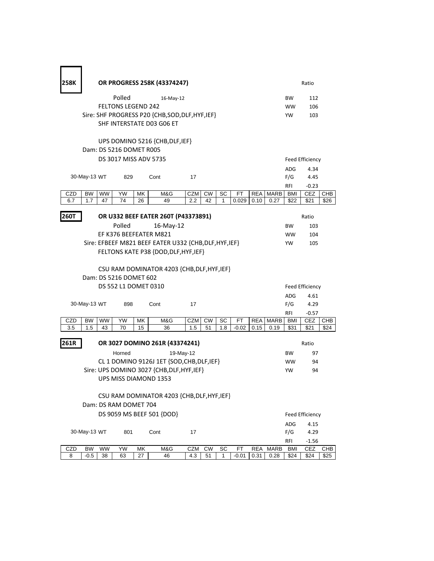| 258K                              |                       | OR PROGRESS 258K (43374247) |                           |    |                                                        |            |           |     |         |            |             |                   | Ratio                  |            |  |  |
|-----------------------------------|-----------------------|-----------------------------|---------------------------|----|--------------------------------------------------------|------------|-----------|-----|---------|------------|-------------|-------------------|------------------------|------------|--|--|
|                                   |                       |                             | Polled                    |    | 16-May-12                                              |            |           |     |         |            |             | <b>BW</b>         | 112                    |            |  |  |
|                                   |                       |                             | <b>FELTONS LEGEND 242</b> |    |                                                        |            |           |     |         |            |             | <b>WW</b>         | 106                    |            |  |  |
|                                   |                       |                             |                           |    | Sire: SHF PROGRESS P20 {CHB, SOD, DLF, HYF, IEF}       |            |           |     |         |            |             | YW                | 103                    |            |  |  |
|                                   |                       |                             |                           |    | SHF INTERSTATE D03 G06 ET                              |            |           |     |         |            |             |                   |                        |            |  |  |
|                                   |                       |                             | Dam: DS 5216 DOMET R005   |    | UPS DOMINO 5216 {CHB, DLF, IEF}                        |            |           |     |         |            |             |                   |                        |            |  |  |
|                                   | DS 3017 MISS ADV 5735 |                             |                           |    |                                                        |            |           |     |         |            |             | Feed Efficiency   |                        |            |  |  |
|                                   |                       |                             |                           |    |                                                        |            |           |     |         |            |             |                   |                        |            |  |  |
|                                   | 30-May-13 WT          |                             | 829                       |    | Cont                                                   | 17         |           |     |         |            |             | <b>ADG</b><br>F/G | 4.34<br>4.45           |            |  |  |
|                                   |                       |                             |                           |    |                                                        |            |           |     |         |            |             | <b>RFI</b>        | $-0.23$                |            |  |  |
| CZD                               | <b>BW</b>             | <b>WW</b>                   | YW                        | МK | M&G                                                    | <b>CZM</b> | <b>CW</b> | SC  | FT      | <b>REA</b> | <b>MARB</b> | BMI               | CEZ                    | CHB        |  |  |
| 6.7                               | 1.7                   | 47                          | 74                        | 26 | 49                                                     | 2.2        | 42        | 1   | 0.029   | 0.10       | 0.27        | \$22              | \$21                   | \$26       |  |  |
|                                   |                       |                             |                           |    |                                                        |            |           |     |         |            |             |                   |                        |            |  |  |
| 260T                              |                       |                             |                           |    | OR U332 BEEF EATER 260T (P43373891)                    |            |           |     |         |            |             |                   | Ratio                  |            |  |  |
|                                   |                       |                             | Polled                    |    | $16$ -May-12                                           |            |           |     |         |            |             | <b>BW</b>         | 103                    |            |  |  |
|                                   |                       |                             |                           |    | EF K376 BEEFEATER M821                                 |            |           |     |         |            |             | <b>WW</b>         | 104                    |            |  |  |
|                                   |                       |                             |                           |    | Sire: EFBEEF M821 BEEF EATER U332 {CHB, DLF, HYF, IEF} |            |           |     |         |            |             | <b>YW</b>         | 105                    |            |  |  |
|                                   |                       |                             |                           |    | FELTONS KATE P38 {DOD, DLF, HYF, IEF}                  |            |           |     |         |            |             |                   |                        |            |  |  |
|                                   |                       |                             |                           |    |                                                        |            |           |     |         |            |             |                   |                        |            |  |  |
|                                   |                       |                             | Dam: DS 5216 DOMET 602    |    | CSU RAM DOMINATOR 4203 {CHB, DLF, HYF, IEF}            |            |           |     |         |            |             |                   |                        |            |  |  |
|                                   |                       |                             |                           |    |                                                        |            |           |     |         |            |             | Feed Efficiency   |                        |            |  |  |
|                                   |                       |                             | DS 552 L1 DOMET 0310      |    |                                                        |            |           |     |         |            |             |                   |                        |            |  |  |
|                                   |                       |                             |                           |    |                                                        |            |           |     |         |            |             |                   |                        |            |  |  |
| 30-May-13 WT<br>898<br>Cont<br>17 |                       |                             |                           |    |                                                        |            |           |     |         |            |             | <b>ADG</b>        | 4.61                   |            |  |  |
|                                   |                       |                             |                           |    |                                                        |            |           |     |         |            |             | F/G               | 4.29                   |            |  |  |
| CZD                               | <b>BW</b>             | WW                          | YW                        | МK | M&G                                                    | CZM        | <b>CW</b> | SC  | FT      | <b>REA</b> | MARB        | RFI<br>BMI        | $-0.57$<br><b>CEZ</b>  | CHB        |  |  |
| 3.5                               | 1.5                   | 43                          | 70                        | 15 | 36                                                     | 1.5        | 51        | 1.8 | $-0.02$ | 0.15       | 0.19        | \$31              | \$21                   | \$24       |  |  |
| 261R                              |                       |                             |                           |    | OR 3027 DOMINO 261R (43374241)                         |            |           |     |         |            |             |                   | Ratio                  |            |  |  |
|                                   |                       |                             | Horned                    |    | 19-May-12                                              |            |           |     |         |            |             | <b>BW</b>         | 97                     |            |  |  |
|                                   |                       |                             |                           |    | CL 1 DOMINO 9126J 1ET {SOD, CHB, DLF, IEF}             |            |           |     |         |            |             | <b>WW</b>         | 94                     |            |  |  |
|                                   |                       |                             |                           |    | Sire: UPS DOMINO 3027 {CHB, DLF, HYF, IEF}             |            |           |     |         |            |             | YW                | 94                     |            |  |  |
|                                   |                       |                             |                           |    | UPS MISS DIAMOND 1353                                  |            |           |     |         |            |             |                   |                        |            |  |  |
|                                   |                       |                             |                           |    |                                                        |            |           |     |         |            |             |                   |                        |            |  |  |
|                                   |                       |                             |                           |    | CSU RAM DOMINATOR 4203 {CHB, DLF, HYF, IEF}            |            |           |     |         |            |             |                   |                        |            |  |  |
|                                   |                       |                             | Dam: DS RAM DOMET 704     |    |                                                        |            |           |     |         |            |             |                   |                        |            |  |  |
|                                   |                       |                             |                           |    | DS 9059 MS BEEF 501 {DOD}                              |            |           |     |         |            |             |                   | <b>Feed Efficiency</b> |            |  |  |
|                                   |                       |                             |                           |    |                                                        |            |           |     |         |            |             | ADG               | 4.15                   |            |  |  |
|                                   | 30-May-13 WT          |                             | 801                       |    | Cont                                                   | 17         |           |     |         |            |             | F/G               | 4.29                   |            |  |  |
| CZD                               | <b>BW</b>             | <b>WW</b>                   | YW                        | MK | M&G                                                    | <b>CZM</b> | <b>CW</b> | SC  | FT      | <b>REA</b> | <b>MARB</b> | RFI<br><b>BMI</b> | $-1.56$<br><b>CEZ</b>  | <b>CHB</b> |  |  |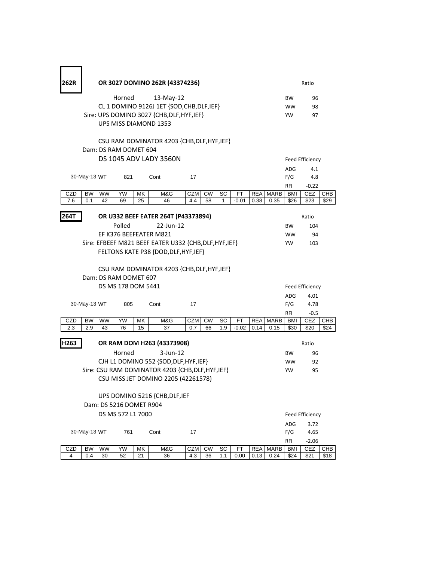| 262R           |                  |                 |                         |          | OR 3027 DOMINO 262R (43374236)                         |                   |           |         |               |                    |                     |                   | Ratio              |                    |  |
|----------------|------------------|-----------------|-------------------------|----------|--------------------------------------------------------|-------------------|-----------|---------|---------------|--------------------|---------------------|-------------------|--------------------|--------------------|--|
|                |                  |                 | Horned                  |          | 13-May-12                                              |                   |           |         |               |                    |                     | BW                | 96                 |                    |  |
|                |                  |                 |                         |          | CL 1 DOMINO 9126J 1ET {SOD, CHB, DLF, IEF}             |                   |           |         |               |                    |                     | <b>WW</b>         | 98                 |                    |  |
|                |                  |                 |                         |          | Sire: UPS DOMINO 3027 {CHB, DLF, HYF, IEF}             |                   |           |         |               |                    |                     | <b>YW</b>         | 97                 |                    |  |
|                |                  |                 |                         |          | <b>UPS MISS DIAMOND 1353</b>                           |                   |           |         |               |                    |                     |                   |                    |                    |  |
|                |                  |                 |                         |          | CSU RAM DOMINATOR 4203 {CHB, DLF, HYF, IEF}            |                   |           |         |               |                    |                     |                   |                    |                    |  |
|                |                  |                 | Dam: DS RAM DOMET 604   |          |                                                        |                   |           |         |               |                    |                     |                   |                    |                    |  |
|                |                  |                 |                         |          | <b>DS 1045 ADV LADY 3560N</b>                          |                   |           |         |               |                    |                     |                   | Feed Efficiency    |                    |  |
|                |                  |                 |                         |          |                                                        |                   |           |         |               |                    |                     | <b>ADG</b>        | 4.1                |                    |  |
|                | 30-May-13 WT     |                 | 821                     |          | Cont                                                   | 17                |           |         |               |                    |                     | F/G               | 4.8                |                    |  |
|                |                  |                 |                         |          |                                                        |                   |           |         |               |                    |                     | RFI               | $-0.22$            |                    |  |
| CZD<br>7.6     | <b>BW</b><br>0.1 | <b>WW</b><br>42 | YW<br>69                | МK<br>25 | M&G<br>46                                              | <b>CZM</b><br>4.4 | CW<br>58  | SC<br>1 | FT<br>$-0.01$ | <b>REA</b><br>0.38 | <b>MARB</b><br>0.35 | BMI<br>\$26       | <b>CEZ</b><br>\$23 | <b>CHB</b><br>\$29 |  |
|                |                  |                 |                         |          |                                                        |                   |           |         |               |                    |                     |                   |                    |                    |  |
| 264T           |                  |                 |                         |          | OR U332 BEEF EATER 264T (P43373894)                    |                   |           |         |               |                    |                     |                   | Ratio              |                    |  |
|                |                  |                 | Polled                  |          | 22-Jun-12                                              |                   |           |         |               |                    |                     | <b>BW</b>         | 104                |                    |  |
|                |                  |                 |                         |          | EF K376 BEEFEATER M821                                 |                   |           |         |               |                    |                     | <b>WW</b>         | 94                 |                    |  |
|                |                  |                 |                         |          | Sire: EFBEEF M821 BEEF EATER U332 {CHB, DLF, HYF, IEF} |                   |           |         |               |                    |                     | YW                | 103                |                    |  |
|                |                  |                 |                         |          | FELTONS KATE P38 {DOD, DLF, HYF, IEF}                  |                   |           |         |               |                    |                     |                   |                    |                    |  |
|                |                  |                 |                         |          |                                                        |                   |           |         |               |                    |                     |                   |                    |                    |  |
|                |                  |                 | Dam: DS RAM DOMET 607   |          | CSU RAM DOMINATOR 4203 {CHB, DLF, HYF, IEF}            |                   |           |         |               |                    |                     |                   |                    |                    |  |
|                |                  |                 | DS MS 178 DOM 5441      |          |                                                        |                   |           |         |               |                    |                     | Feed Efficiency   |                    |                    |  |
|                |                  |                 |                         |          |                                                        |                   |           |         |               |                    |                     | <b>ADG</b>        | 4.01               |                    |  |
|                | 30-May-13 WT     |                 | 805                     |          | Cont                                                   | 17                |           |         |               |                    |                     | F/G               | 4.78               |                    |  |
|                |                  |                 |                         |          |                                                        |                   |           |         |               |                    |                     | RFI               | $-0.5$             |                    |  |
| CZD            | <b>BW</b>        | <b>WW</b>       | YW                      | MΚ       | M&G                                                    | CZM               | <b>CW</b> | SC      | FT            | <b>REA</b>         | MARB                | <b>BMI</b>        | <b>CEZ</b>         | <b>CHB</b>         |  |
| 2.3            | 2.9              | 43              | 76                      | 15       | 37                                                     | 0.7               | 66        | 1.9     | $-0.02$       | 0.14               | 0.15                | \$30              | \$20               | \$24               |  |
| H263           |                  |                 |                         |          | OR RAM DOM H263 (43373908)                             |                   |           |         |               |                    |                     |                   | Ratio              |                    |  |
|                |                  |                 | Horned                  |          | $3$ -Jun-12                                            |                   |           |         |               |                    |                     | BW                | 96                 |                    |  |
|                |                  |                 |                         |          | CJH L1 DOMINO 552 {SOD, DLF, HYF, IEF}                 |                   |           |         |               |                    |                     | WW                | 92                 |                    |  |
|                |                  |                 |                         |          | Sire: CSU RAM DOMINATOR 4203 {CHB, DLF, HYF, IEF}      |                   |           |         |               |                    |                     | <b>YW</b>         | 95                 |                    |  |
|                |                  |                 |                         |          | CSU MISS JET DOMINO 2205 (42261578)                    |                   |           |         |               |                    |                     |                   |                    |                    |  |
|                |                  |                 |                         |          |                                                        |                   |           |         |               |                    |                     |                   |                    |                    |  |
|                |                  |                 |                         |          | UPS DOMINO 5216 {CHB, DLF, IEF                         |                   |           |         |               |                    |                     |                   |                    |                    |  |
|                |                  |                 | Dam: DS 5216 DOMET R904 |          |                                                        |                   |           |         |               |                    |                     |                   |                    |                    |  |
|                |                  |                 | DS MS 572 L1 7000       |          |                                                        |                   |           |         |               |                    |                     |                   | Feed Efficiency    |                    |  |
|                |                  |                 |                         |          |                                                        |                   |           |         |               |                    |                     | ADG               | 3.72               |                    |  |
|                | 30-May-13 WT     |                 | 761                     |          | Cont                                                   | 17                |           |         |               |                    |                     | F/G               | 4.65               |                    |  |
| CZD            | BW               | <b>WW</b>       | YW                      | МK       | M&G                                                    | <b>CZM</b>        | <b>CW</b> | SC      | FT            | <b>REA</b>         | MARB                | RFI<br><b>BMI</b> | $-2.06$<br>CEZ     | CHB                |  |
| $\overline{4}$ | 0.4              | 30              | 52                      | 21       | 36                                                     | 4.3               | 36        | 1.1     | 0.00          | 0.13               | 0.24                | \$24              | \$21               | \$18               |  |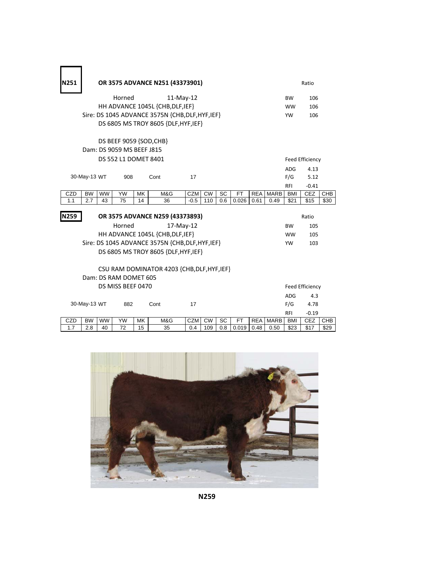| N251       |                                                                                                                      | OR 3575 ADVANCE N251 (43373901) |                       |          |                                                  |               |                  |           |                    |                    |                     |                          | Ratio                  |            |  |  |
|------------|----------------------------------------------------------------------------------------------------------------------|---------------------------------|-----------------------|----------|--------------------------------------------------|---------------|------------------|-----------|--------------------|--------------------|---------------------|--------------------------|------------------------|------------|--|--|
|            |                                                                                                                      |                                 | Horned                |          | $11-Mav-12$                                      |               |                  |           |                    |                    |                     | <b>BW</b>                | 106                    |            |  |  |
|            |                                                                                                                      |                                 |                       |          | HH ADVANCE 1045L {CHB, DLF, IEF}                 |               |                  |           |                    |                    |                     | <b>WW</b>                | 106                    |            |  |  |
|            |                                                                                                                      |                                 |                       |          | Sire: DS 1045 ADVANCE 3575N {CHB, DLF, HYF, IEF} |               |                  |           |                    |                    |                     | <b>YW</b>                | 106                    |            |  |  |
|            | DS 6805 MS TROY 8605 {DLF, HYF, IEF}                                                                                 |                                 |                       |          |                                                  |               |                  |           |                    |                    |                     |                          |                        |            |  |  |
|            |                                                                                                                      |                                 |                       |          |                                                  |               |                  |           |                    |                    |                     |                          |                        |            |  |  |
|            | DS BEEF 9059 {SOD, CHB}<br>Dam: DS 9059 MS BEEF J815                                                                 |                                 |                       |          |                                                  |               |                  |           |                    |                    |                     |                          |                        |            |  |  |
|            |                                                                                                                      |                                 | DS 552 L1 DOMET 8401  |          |                                                  |               |                  |           |                    |                    |                     |                          | Feed Efficiency        |            |  |  |
|            |                                                                                                                      |                                 |                       |          |                                                  |               |                  |           |                    |                    |                     | ADG                      | 4.13                   |            |  |  |
|            | 30-May-13 WT                                                                                                         |                                 | 908                   |          | Cont                                             | 17            |                  |           |                    |                    |                     | F/G                      | 5.12                   |            |  |  |
|            |                                                                                                                      |                                 |                       |          |                                                  |               |                  |           |                    |                    |                     | <b>RFI</b>               | $-0.41$                |            |  |  |
| CZD<br>1.1 | <b>BW</b><br>2.7                                                                                                     | <b>WW</b><br>43                 | YW<br>75              | МK<br>14 | M&G<br>36                                        | CZM<br>$-0.5$ | <b>CW</b><br>110 | SC<br>0.6 | <b>FT</b><br>0.026 | <b>REA</b><br>0.61 | <b>MARB</b><br>0.49 | BMI<br>\$21              | CEZ<br>\$15            | CHB        |  |  |
|            |                                                                                                                      |                                 |                       |          |                                                  |               |                  |           |                    |                    |                     |                          |                        | \$30       |  |  |
| N259       |                                                                                                                      |                                 |                       |          | OR 3575 ADVANCE N259 (43373893)                  |               |                  |           |                    |                    |                     |                          | Ratio                  |            |  |  |
|            |                                                                                                                      |                                 | Horned                |          | 17-May-12                                        |               |                  |           |                    |                    |                     | <b>BW</b>                | 105                    |            |  |  |
|            |                                                                                                                      |                                 |                       |          | HH ADVANCE 1045L {CHB, DLF, IEF}                 |               |                  |           |                    |                    |                     | <b>WW</b>                | 105                    |            |  |  |
|            |                                                                                                                      |                                 |                       |          | Sire: DS 1045 ADVANCE 3575N {CHB, DLF, HYF, IEF} |               |                  |           |                    |                    |                     | YW                       | 103                    |            |  |  |
|            |                                                                                                                      |                                 |                       |          | DS 6805 MS TROY 8605 {DLF, HYF, IEF}             |               |                  |           |                    |                    |                     |                          |                        |            |  |  |
|            |                                                                                                                      |                                 |                       |          |                                                  |               |                  |           |                    |                    |                     |                          |                        |            |  |  |
|            |                                                                                                                      |                                 |                       |          | CSU RAM DOMINATOR 4203 {CHB, DLF, HYF, IEF}      |               |                  |           |                    |                    |                     |                          |                        |            |  |  |
|            |                                                                                                                      |                                 | Dam: DS RAM DOMET 605 |          |                                                  |               |                  |           |                    |                    |                     |                          |                        |            |  |  |
|            |                                                                                                                      |                                 | DS MISS BEEF 0470     |          |                                                  |               |                  |           |                    |                    |                     |                          | <b>Feed Efficiency</b> |            |  |  |
|            |                                                                                                                      |                                 |                       |          |                                                  |               |                  |           |                    |                    |                     | ADG.                     | 4.3                    |            |  |  |
|            | 30-May-13 WT                                                                                                         |                                 | 882                   |          | Cont                                             | 17            |                  |           |                    |                    |                     | F/G                      | 4.78                   |            |  |  |
| CZD        | YW<br>M&G<br>SC<br><b>MARB</b><br><b>BW</b><br><b>WW</b><br>MK<br><b>CZM</b><br><b>CW</b><br><b>FT</b><br><b>REA</b> |                                 |                       |          |                                                  |               |                  |           |                    |                    |                     | <b>RFI</b><br><b>BMI</b> | $-0.19$<br>CEZ         | <b>CHB</b> |  |  |
| 1.7        | 2.8                                                                                                                  | 40                              | 72                    | 15       | 35                                               | 0.4           | 109              | 0.8       | 0.019              | 0.48               | 0.50                | \$23                     | \$17                   | \$29       |  |  |

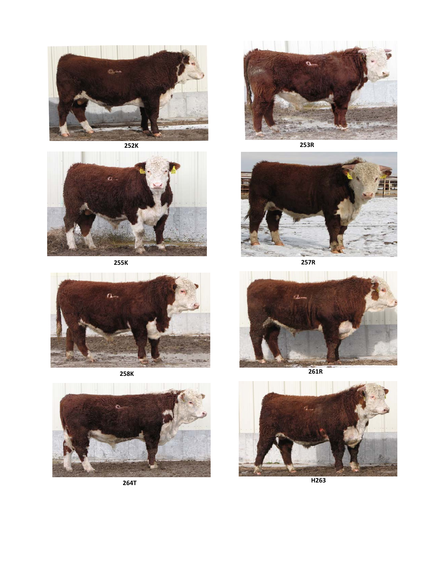

**252K**



**255K 257R**









**253R**